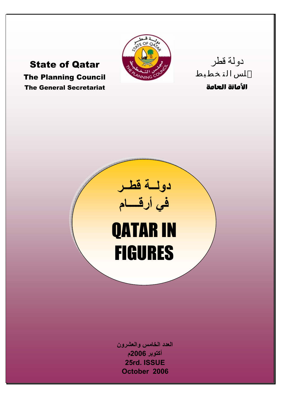

State of Qatar The Planning Council The General Secretariat

الأمانة العامة

دولة قطر

**دولــة قطــر في أرقــــام** QATAR IN FIGURES

**العدد الخامس والعشرون أآتوبر 2006م 25rd. ISSUE October 2006**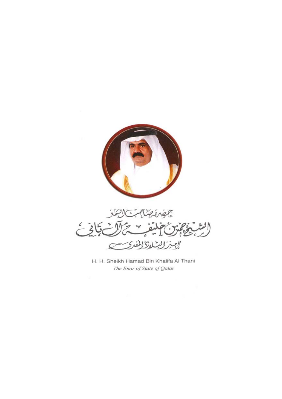



H. H. Sheikh Hamad Bin Khalifa Al Thani The Emir of State of Qatar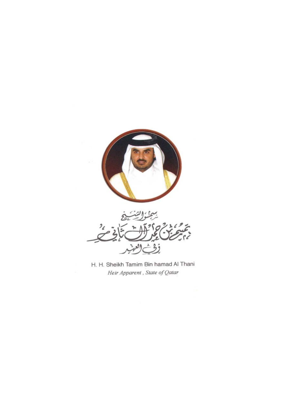

H. H. Sheikh Tamim Bin hamad Al Thani Heir Apparent, State of Qatar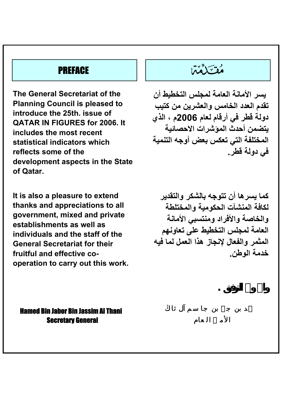**The General Secretariat of the Planning Council is pleased to introduce the 25th. issue of QATAR IN FIGURES for 2006. It includes the most recent statistical indicators which reflects some of the development aspects in the State of Qatar.**

**It is also a pleasure to extend thanks and appreciations to all government, mixed and private establishments as well as individuals and the staff of the General Secretariat for their fruitful and effective cooperation to carry out this work.** 

# مَعْتَكَمَّمَانَ الْتَّافِيَّةِ بِهِمْ الْمُسْتَكَمِّمَانَ الْمُسْتَكَمِّمَانَ الْمُسْتَكَمِّمَانَ ا

**يسر الأمانة العامة لمجلس التخطيط أن تقدم العدد الخامس والعشرين من آتيب دولة قطر في أرقام لعام 2006م ، الذي يتضمن أحدث المؤشرات الاحصائية المختلفة التي تعكس بعض أوجه التنمية في دولة قطر.**

**آما يسرها أن تتوجه بالشكر والتقدير لكافة المنشآت الحكومية والمختلطة والخاصة والأفراد ومنتسبي الأمانة العامة لمجلس التخطيط على تعاونهم المثمر والفعال لإنجاز هذا العمل لما فيه خدمة الوطن.**

**واالله ولي التوفيق .**

Hamed Bin Jabor Bin Jassim Al Thani Secretary General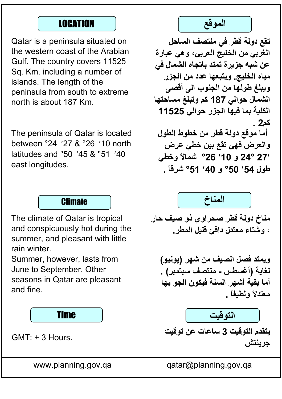Qatar is a peninsula situated on the western coast of the Arabian Gulf. The country covers 11525 Sq. Km. including a number of islands. The length of the peninsula from south to extreme north is about 187 Km.

The peninsula of Qatar is located between °24 ′27 & °26 ′10 north latitudes and °50 ′45 & °51 ′40 east longitudes.



The climate of Qatar is tropical and conspicuously hot during the summer, and pleasant with little rain winter.

Summer, however, lasts from June to September. Other seasons in Qatar are pleasant and fine.



GMT: + 3 Hours.



**تقع دولة قطر في منتصف الساحل الغربي من الخليج العربي، وهي عبارة عن شبه جزیرة تمتد باتجاه الشمال في مياه الخليج. ویتبعها عدد من الجزر ویبلغ طولها من الجنوب الى أقصى الشمال حوالي 187 آم وتبلغ مساحتها الكلية بما فيها الجزر حوالي 11525 آم2 . أما موقع دولة قطر من خطوط الطول والعرض فهي تقع بين خطي عرض 27**′ **24° و** ′**10 °26 شمالاً وخطي طول** ′**54 °50 و** ′**40 °51 شرقاً .**



**مناخ دولة قطر صحراوي ذو صيف حار ، وشتاء معتدل دافئ قليل المطر.**

**ویمتد فصل الصيف من شهر (یونيو) لغایة (أغسطس - منتصف سبتمبر) . أما بقية أشهر السنة فيكون الجو بها معتدلاً ولطيفاً .**

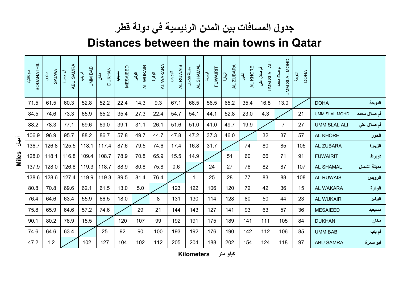## **جدول المسافات بين المدن الرئيسية في دولة قطر**

### **Distances between the main towns in Qatar**

| SODANATHIL<br>سودانثيل | SALWA<br>سلوى | ABU SAMRA<br>أبو سعرة | <b>UMM BAB</b><br>آم پار | <b>DUKHAN</b><br>$\frac{3}{5}$ | <b>MESAIEED</b><br>مسيسيد | AL WUKAIR<br>آھي<br>ٻالا | AL WAKARA<br>الوكرة | AL RUWAIS<br>الرويس | AL SHAMAL<br>منيئة الشمال | FUWAIRIT<br>غويوط<br>م | ZUBARA<br>أرتبارة<br>₹ | AL KHORE<br>الخور | $\overline{A}$<br>أم صلال علي<br><b>UMM SLAL</b> | UMM SLAL MOHD.<br>أم صلال محمد | <b>DOHA</b><br>النوحة |                     |              |
|------------------------|---------------|-----------------------|--------------------------|--------------------------------|---------------------------|--------------------------|---------------------|---------------------|---------------------------|------------------------|------------------------|-------------------|--------------------------------------------------|--------------------------------|-----------------------|---------------------|--------------|
| 71.5                   | 61.5          | 60.3                  | 52.8                     | 52.2                           | 22.4                      | 14.3                     | 9.3                 | 67.1                | 66.5                      | 56.5                   | 65.2                   | 35.4              | 16.8                                             | 13.0                           |                       | <b>DOHA</b>         | الدوحة       |
| 84.5                   | 74.6          | 73.3                  | 65.9                     | 65.2                           | 35.4                      | 27.3                     | 22.4                | 54.7                | 54.1                      | 44.1                   | 52.8                   | 23.0              | 4.3                                              |                                | 21                    | UMM SLAL MOHD.      | أم صلال محمد |
| 88.2                   | 78.3          | 77.1                  | 69.6                     | 69.0                           | 39.1                      | 31.1                     | 26.1                | 51.6                | 51.0                      | 41.0                   | 49.7                   | 19.9              |                                                  | $\overline{7}$                 | 27                    | <b>UMM SLAL ALI</b> | أم صلال على  |
| 106.9                  | 96.9          | 95.7                  | 88.2                     | 86.7                           | 57.8                      | 49.7                     | 44.7                | 47.8                | 47.2                      | 37.3                   | 46.0                   |                   | 32                                               | 37                             | 57                    | AL KHORE            | الخور        |
| 136.7                  | 126.8         | 125.5                 | 118.1                    | 117.4                          | 87.6                      | 79.5                     | 74.6                | 17.4                | 16.8                      | 31.7                   |                        | 74                | 80                                               | 85                             | 105                   | AL ZUBARA           | الزبارة      |
| 128.0                  | 118.1         | 116.8                 | 109.4                    | 108.7                          | 78.9                      | 70.8                     | 65.9                | 15.5                | 14.9                      |                        | 51                     | 60                | 66                                               | 71                             | 91                    | <b>FUWAIRIT</b>     | فويرط        |
| 137.9                  | 128.0         | 126.8                 | 119.3                    | 118.7                          | 88.9                      | 80.8                     | 75.8                | 0.6                 |                           | 24                     | 27                     | 76                | 82                                               | 87                             | 107                   | <b>AL SHAMAL</b>    | مدينة الشمال |
| 138.6                  | 128.6         | 127.4                 | 119.9                    | 119.3                          | 89.5                      | 81.4                     | 76.4                |                     | 1                         | 25                     | 28                     | 77                | 83                                               | 88                             | 108                   | <b>AL RUWAIS</b>    | الرويس       |
| 80.8                   | 70.8          | 69.6                  | 62.1                     | 61.5                           | 13.0                      | 5.0                      |                     | 123                 | 122                       | 106                    | 120                    | 72                | 42                                               | 36                             | 15                    | AL WAKARA           | الوكرة       |
| 76.4                   | 64.6          | 63.4                  | 55.9                     | 66.5                           | 18.0                      |                          | 8                   | 131                 | 130                       | 114                    | 128                    | 80                | 50                                               | 44                             | 23                    | <b>AL WUKAIR</b>    | الوكير       |
| 75.8                   | 65.9          | 64.6                  | 57.2                     | 74.6                           |                           | 29                       | 21                  | 144                 | 143                       | 127                    | 141                    | 93                | 63                                               | 57                             | 36                    | <b>MESAIEED</b>     | مسيعيد       |
| 90.1                   | 80.2          | 78.9                  | 15.5                     |                                | 120                       | 107                      | 99                  | 192                 | 191                       | 175                    | 189                    | 141               | 111                                              | 105                            | 84                    | <b>DUKHAN</b>       | دخان         |
| 74.6                   | 64.6          | 63.4                  |                          | 25                             | 92                        | 90                       | 100                 | 193                 | 192                       | 176                    | 190                    | 142               | 112                                              | 106                            | 85                    | <b>UMM BAB</b>      | أم ياب       |
| 47.2                   | 1.2           |                       | 102                      | 127                            | 104                       | 102                      | 112                 | 205                 | 204                       | 188                    | 202                    | 154               | 124                                              | 118                            | 97                    | <b>ABU SAMRA</b>    | أبو سمرة     |

**آيلو متر Kilometers** 

**أميال Miles**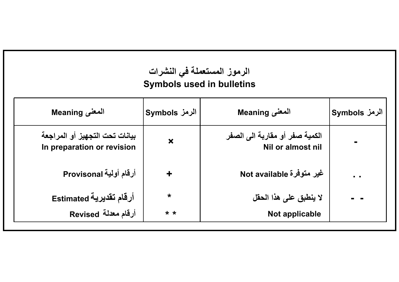| الرموز المستعملة في النشرات<br><b>Symbols used in bulletins</b> |                           |                                                     |               |  |  |  |  |  |  |  |  |
|-----------------------------------------------------------------|---------------------------|-----------------------------------------------------|---------------|--|--|--|--|--|--|--|--|
| المعنى Meaning                                                  | الرمز Symbols             | المعنى Meaning                                      | الرمز Symbols |  |  |  |  |  |  |  |  |
| بيانات تحت التجهيز أو المراجعة<br>In preparation or revision    | $\boldsymbol{\mathsf{x}}$ | الكمية صفر أو مقاربة الى الصفر<br>Nil or almost nil |               |  |  |  |  |  |  |  |  |
| أرقام أولية Provisonal                                          | $\ddot{}$                 | غير متوفرة Not available                            | $\sim$        |  |  |  |  |  |  |  |  |
| أرقام تقديرية Estimated                                         | $\star$                   | لا ينطبق على هذا الحقل                              |               |  |  |  |  |  |  |  |  |
| أرقام معدلة Revised                                             | $* *$                     | Not applicable                                      |               |  |  |  |  |  |  |  |  |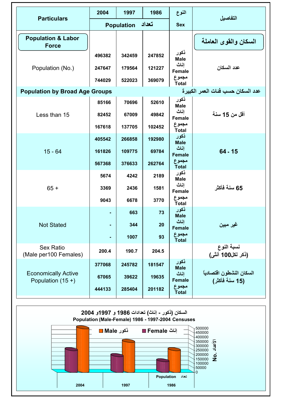| <b>Particulars</b>                            | 2004             | 1997              | 1986             | النوع                          | التفاصيل                          |
|-----------------------------------------------|------------------|-------------------|------------------|--------------------------------|-----------------------------------|
|                                               |                  | <b>Population</b> | تعداد            | <b>Sex</b>                     |                                   |
| <b>Population &amp; Labor</b><br><b>Force</b> |                  |                   |                  |                                | السكان والقوى العاملة             |
| Population (No.)                              | 496382<br>247647 | 342459<br>179564  | 247852<br>121227 | ذكور<br>Male<br>إناث<br>Female | عدد السكان                        |
|                                               | 744029           | 522023            | 369079           | مجموع<br><b>Total</b>          |                                   |
| <b>Population by Broad Age Groups</b>         |                  |                   |                  |                                | عدد السكان حسب فئات العمر الكبيرة |
|                                               | 85166            | 70696             | 52610            | ذكور<br>Male<br>اناث           |                                   |
| Less than 15                                  | 82452<br>167618  | 67009<br>137705   | 49842<br>102452  | Female<br>مجموع<br>Total       | أقل من 15 سنة                     |
|                                               | 405542           | 266858            | 192980           | ڏکور<br><b>Male</b>            |                                   |
| $15 - 64$                                     | 161826<br>567368 | 109775<br>376633  | 69784<br>262764  | اناث<br><b>Female</b><br>مجموع | $64 - 15$                         |
|                                               |                  |                   |                  | <b>Total</b><br>ڏکور           |                                   |
| $65+$                                         | 5674<br>3369     | 4242<br>2436      | 2189<br>1581     | Male<br>اناث<br><b>Female</b>  | 65 سنة فأكثر                      |
|                                               | 9043             | 6678              | 3770             | مجموع<br>Total                 |                                   |
|                                               |                  | 663               | 73               | ڏکور<br><b>Male</b><br>اناث    |                                   |
| <b>Not Stated</b>                             |                  | 344<br>1007       | 20<br>93         | <b>Female</b><br>مجموع         | غير مبين                          |
| Sex Ratio                                     | ٠                |                   |                  | <b>Total</b>                   | نسبة النوع                        |
| (Male per100 Females)                         | 200.4            | 190.7             | 204.5            |                                | (ذكر لكل100 أنثى)                 |
| <b>Economically Active</b>                    | 377068           | 245782            | 181547           | ڏکور<br><b>Male</b><br>اناث    | السكان النشطون اقتصاديأ           |
| Population $(15 +)$                           | 67065            | 39622             | 19635            | <b>Female</b>                  | (15 سنة فأكثر)                    |
|                                               | 444133           | 285404            | 201182           | مجموع<br><b>Total</b>          |                                   |

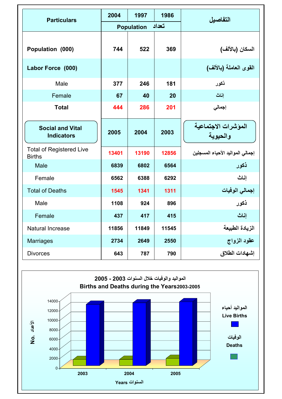| <b>Particulars</b>                               | 2004  | 1997              | 1986  | التفاصيل                         |  |
|--------------------------------------------------|-------|-------------------|-------|----------------------------------|--|
|                                                  |       | <b>Population</b> | تعداد |                                  |  |
| Population (000)                                 | 744   | 522               | 369   | السكان (بالألف)                  |  |
| Labor Force (000)                                |       |                   |       | القوى العاملة (بالألف)           |  |
| Male                                             | 377   | 246               | 181   | ذكور                             |  |
| Female                                           | 67    | 40                | 20    | اناث                             |  |
| <b>Total</b>                                     | 444   | 286               | 201   | إجمالي                           |  |
| <b>Social and Vital</b><br><b>Indicators</b>     | 2005  | 2004              | 2003  | المؤشرات الاجتماعية<br>والحيوية  |  |
| <b>Total of Registered Live</b><br><b>Births</b> | 13401 | 13190             | 12856 | إجمالي المواليد الأحياء المسجلين |  |
| Male                                             | 6839  | 6802              | 6564  | ذكور                             |  |
| Female                                           | 6562  | 6388              | 6292  | اناث                             |  |
| <b>Total of Deaths</b>                           | 1545  | 1341              | 1311  | إجمالي الوفيات                   |  |
| Male                                             | 1108  | 924               | 896   | ذكور                             |  |
| Female                                           | 437   | 417               | 415   | إناث                             |  |
| Natural Increase                                 | 11856 | 11849             | 11545 | الزيادة الطبيعة                  |  |
| <b>Marriages</b>                                 | 2734  | 2649              | 2550  | عقود الزواج                      |  |
| <b>Divorces</b>                                  | 643   | 787               | 790   | إشهادات الطلاق                   |  |

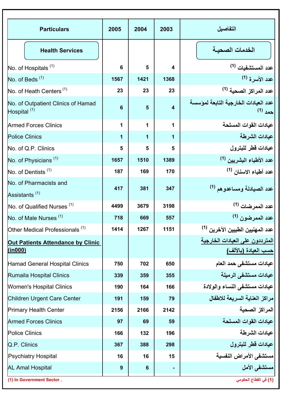| <b>Particulars</b>                                            | 2005 | 2004 | 2003 | التفاصيل                                                |
|---------------------------------------------------------------|------|------|------|---------------------------------------------------------|
| <b>Health Services</b>                                        |      |      |      | الخدمات الصحية                                          |
| No. of Hospitals <sup>(1)</sup>                               | 6    | 5    | 4    | عدد المستشفيات <sup>(1)</sup>                           |
| No. of Beds <sup>(1)</sup>                                    | 1567 | 1421 | 1368 | عدد الأسر ة <sup>(1)</sup>                              |
| No. of Heath Centers <sup>(1)</sup>                           | 23   | 23   | 23   | عدد المراكز الصحية <sup>(1)</sup>                       |
| No. of Outpatient Clinics of Hamad<br>Hospital <sup>(1)</sup> | 6    | 5    | 4    | عدد العيادات الخارجية التابعة لمؤسسة<br>حمد (1)         |
| <b>Armed Forces Clinics</b>                                   | 1    | 1    | 1    | عيادات القوات المسلحة                                   |
| <b>Police Clinics</b>                                         | 1    | 1    | 1    | عيادات الشرطة                                           |
| No. of Q.P. Clinics                                           | 5    | 5    | 5    | عيادات قطر للبترول                                      |
| No. of Physicians <sup>(1)</sup>                              | 1657 | 1510 | 1389 | عدد الأطباء البشريين <sup>(1)</sup>                     |
| No. of Dentists <sup>(1)</sup>                                | 187  | 169  | 170  | عدد أطباء الاسنان (1)                                   |
| No. of Pharmacists and<br>Assistants <sup>(1)</sup>           | 417  | 381  | 347  | عدد الصيادلة ومساعدوهم <sup>(1)</sup>                   |
| No. of Qualified Nurses <sup>(1)</sup>                        | 4499 | 3679 | 3198 | عدد الممر ضات <sup>(1)</sup>                            |
| No. of Male Nurses <sup>(1)</sup>                             | 718  | 669  | 557  | عدد الممرضون <sup>(1)</sup>                             |
| Other Medical Professionals <sup>(1)</sup>                    | 1414 | 1267 | 1151 | عدد المهنيين الطبيين الآخرين <sup>(1)</sup>             |
| Out Patients Attendance by Clinic<br>(in000)                  |      |      |      | المترددون على العيادات الخارجية<br>حسب العيادة (بالألف) |
| Hamad General Hospital Clinics                                | 750  | 702  | 650  | عيادات مستشفى حمد العام                                 |
| Rumaila Hospital Clinics                                      | 339  | 359  | 355  | عيادات مستشفى الرميلة                                   |
| <b>Women's Hospital Clinics</b>                               | 190  | 164  | 166  | عيادات مستشفى النساء والولادة                           |
| Children Urgent Care Center                                   | 191  | 159  | 79   | مر اكز العناية السريعة للاطفال                          |
| Primary Health Center                                         | 2156 | 2166 | 2142 | المراكز الصحية                                          |
| <b>Armed Forces Clinics</b>                                   | 97   | 69   | 59   | عيادات القوات المسلحة                                   |
| <b>Police Clinics</b>                                         | 166  | 132  | 196  | عيادات الشرطة                                           |
| Q.P. Clinics                                                  | 367  | 388  | 298  | عيادات قطر للبترول                                      |
| Psychiatry Hospital                                           | 16   | 16   | 15   | مستشفى الأمراض النفسية                                  |
| <b>AL Amal Hospital</b>                                       | 9    | 6    |      | مستشفى الأمل                                            |
| (1) In Government Sector.                                     |      |      |      | (1) في القطاع الحكومي                                   |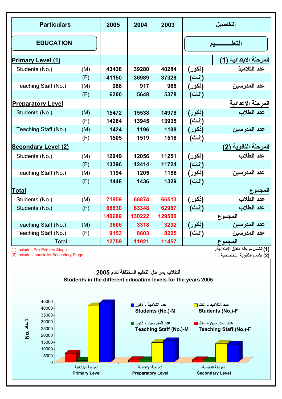| <b>Particulars</b>                                                                          | 2005                                                                                                      | 2004   | 2003                                                        |                                                   | التفاصيل |                                                                                                                                |  |  |
|---------------------------------------------------------------------------------------------|-----------------------------------------------------------------------------------------------------------|--------|-------------------------------------------------------------|---------------------------------------------------|----------|--------------------------------------------------------------------------------------------------------------------------------|--|--|
| <b>EDUCATION</b>                                                                            |                                                                                                           |        |                                                             |                                                   |          | التعلىسسيم                                                                                                                     |  |  |
| <b>Primary Level (1)</b>                                                                    |                                                                                                           |        |                                                             |                                                   |          | المرحلة الابتدائية (1 <u>)</u>                                                                                                 |  |  |
| Students (No.)                                                                              | (M)                                                                                                       | 43438  | 39280                                                       | 40284                                             | (ذکور)   | عدد التلاميذ                                                                                                                   |  |  |
|                                                                                             | (F)                                                                                                       | 41150  | 36989                                                       | 37328                                             | (إناث)   |                                                                                                                                |  |  |
| Teaching Staff (No.)                                                                        | (M)                                                                                                       | 988    | 917                                                         | 968                                               | (ذکور)   | <mark>عدد ال</mark> مدرسين                                                                                                     |  |  |
|                                                                                             | (F)                                                                                                       | 6200   | 5648                                                        | 5378                                              | (إناث)   |                                                                                                                                |  |  |
| <b>Preparatory Level</b>                                                                    |                                                                                                           |        |                                                             |                                                   |          |                                                                                                                                |  |  |
| Students (No.)                                                                              | (M)                                                                                                       | 15472  | 15538                                                       | 14978                                             | (ذکور)   | المرحلة الاعدادية<br>عدد الطلاب                                                                                                |  |  |
|                                                                                             | (F)                                                                                                       | 14284  | 13945                                                       | 13935                                             | (إناث)   |                                                                                                                                |  |  |
| Teaching Staff (No.)                                                                        | (M)                                                                                                       | 1424   | 1196                                                        | 1108                                              | (ذکور)   | عدد المدرسين                                                                                                                   |  |  |
|                                                                                             | (F)                                                                                                       | 1505   | 1519                                                        | 1518                                              | (إناث)   |                                                                                                                                |  |  |
| <b>Secondary Level (2)</b>                                                                  |                                                                                                           |        |                                                             |                                                   |          | المرحلة الثانوية (2)                                                                                                           |  |  |
| Students (No.)                                                                              | (M)                                                                                                       | 12949  | 12056                                                       | 11251                                             | (ذکور)   | عدد الطلاب                                                                                                                     |  |  |
|                                                                                             | (F)                                                                                                       | 13396  | 12414                                                       | 11724                                             | (إناث)   |                                                                                                                                |  |  |
| Teaching Staff (No.)                                                                        | (M)                                                                                                       | 1194   | 1205                                                        | 1156                                              | (ذکور)   | عدد المدرسين                                                                                                                   |  |  |
|                                                                                             | (F)                                                                                                       | 1448   | 1436                                                        | 1329                                              | (إناث)   |                                                                                                                                |  |  |
| Total                                                                                       |                                                                                                           |        |                                                             |                                                   |          | المجموع                                                                                                                        |  |  |
| Students (No.)                                                                              | (M)                                                                                                       | 71859  | 66874                                                       | 66513                                             | (ذکور)   | عدد الطلاب                                                                                                                     |  |  |
| Students (No.)                                                                              | (F)                                                                                                       | 68830  | 63348                                                       | 62987                                             | (إناث)   | عدد الطلاب                                                                                                                     |  |  |
|                                                                                             |                                                                                                           | 140689 | 130222                                                      | 129500                                            |          | المجموع                                                                                                                        |  |  |
| Teaching Staff (No.)                                                                        | (M)                                                                                                       | 3606   | 3318                                                        | 3232                                              | (ذکور)   | عدد المدرسين                                                                                                                   |  |  |
| Teaching Staff (No.)                                                                        | (F)                                                                                                       | 9153   | 8603                                                        | 8225                                              | (إناث)   | عدد المدرسين                                                                                                                   |  |  |
| Total                                                                                       |                                                                                                           | 12759  | 11921                                                       | 11457                                             |          | ا <mark>لمجموع</mark><br>(1) تش <i>مل مر</i> حلة ماقبل الابتدائية <sub>.</sub>                                                 |  |  |
| (1) Includes Pre-Primary Stage.                                                             |                                                                                                           |        |                                                             |                                                   |          |                                                                                                                                |  |  |
| (2) Includes specialist Secondary Stage.                                                    |                                                                                                           |        |                                                             |                                                   |          | (2) تشمل الثانوية التخصصية                                                                                                     |  |  |
|                                                                                             | الطلاب بمراحل التعليم المختلفة لعام 2005<br>Students in the different education leveis for the years 2005 |        |                                                             |                                                   |          |                                                                                                                                |  |  |
| 45000<br>40000<br>35000<br>الأعداد .No<br>30000<br>25000<br>20000<br>15000<br>10000<br>5000 |                                                                                                           |        | عدد التلاميذ − ذكور <mark>■</mark><br>عدد المدرسين − ذكور ■ | Students (No.)-M<br><b>Teaching Staff (No.)-M</b> |          | عدد التلاميذ − اِناث <mark>□</mark><br>Students (No.)-F<br>عدد المدرسين - اناث <mark>=</mark><br><b>Teaching Staff (No.)-F</b> |  |  |
| $0 -$                                                                                       | المرحلة الابتدانية<br><b>Primary Level</b>                                                                |        | المرحلة الإعدادية<br><b>Preparatory Level</b>               |                                                   |          | المرحلة الثانونية<br><b>Secondary Level</b>                                                                                    |  |  |
|                                                                                             |                                                                                                           |        |                                                             |                                                   |          |                                                                                                                                |  |  |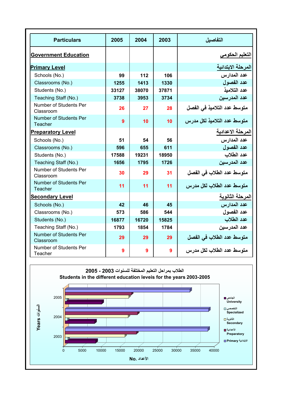| <b>Particulars</b>                  | 2005           | 2004  | 2003            | التفاصيل                    |
|-------------------------------------|----------------|-------|-----------------|-----------------------------|
| <b>Government Education</b>         |                |       |                 | التعليم الحكومي             |
| <b>Primary Level</b>                |                |       |                 | المرحلة الابتدائية          |
| Schools (No.)                       | 99             | 112   | 106             | عدد المدارس                 |
| Classrooms (No.)                    | 1255           | 1413  | 1330            | عدد الفصو ل                 |
| Students (No.)                      | 33127          | 38070 | 37871           | عدد التلامبذ                |
| Teaching Staff (No.)                | 3738           | 3953  | 3734            | عدد المدر سين               |
| Number of Students Per<br>Classroom | 26             | 27    | 28              | متوسط عدد التلاميذ في الفصل |
| Number of Students Per<br>Teacher   | $\overline{9}$ | 10    | 10 <sup>1</sup> | متوسط عدد التلاميذ لكل مدرس |
| <b>Preparatory Level</b>            |                |       |                 | المرحلة الاعدادية           |
| Schools (No.)                       | 51             | 54    | 56              | عدد المدارس                 |
| Classrooms (No.)                    | 596            | 655   | 611             | عدد الفصو ل                 |
| Students (No.)                      | 17588          | 19231 | 18950           | عدد الطلاب                  |
| Teaching Staff (No.)                | 1656           | 1795  | 1726            | عدد المدر سبن               |
| Number of Students Per<br>Classroom | 30             | 29    | 31              | متوسط عدد الطلاب في الفصل   |
| Number of Students Per<br>Teacher   | 11             | 11    | 11              | متوسط عدد الطلاب لكل مدرس   |
| <b>Secondary Level</b>              |                |       |                 | المرحلة الثانوية            |
| Schools (No.)                       | 42             | 46    | 45              | عدد المدارس                 |
| Classrooms (No.)                    | 573            | 586   | 544             | عدد الفصو ل                 |
| Students (No.)                      | 16877          | 16720 | 15825           | عدد الطلاب                  |
| Teaching Staff (No.)                | 1793           | 1854  | 1784            | عدد المدر سين               |
| Number of Students Per<br>Classroom | 29             | 29    | 29              | متوسط عدد الطلاب في الفصل   |
| Number of Students Per<br>Teacher   | 9              | 9     | 9               | متوسط عدد الطلاب لكل مدر س  |

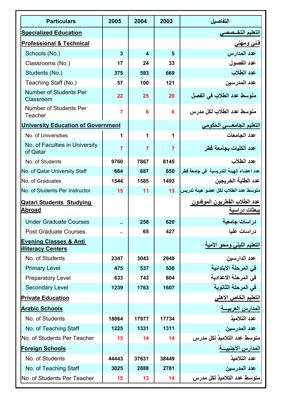| <b>Particulars</b>                                             | 2005           | 2004  | 2003  | التفاصبل                                             |
|----------------------------------------------------------------|----------------|-------|-------|------------------------------------------------------|
| <b>Specialized Education</b>                                   |                |       |       | التعليم التخــصصى                                    |
| <b>Professional &amp; Technical</b>                            |                |       |       | <u>فنی ومهنی</u>                                     |
| Schools (No.)                                                  | 3              | 4     | 5     | عدد المدارس                                          |
| Classrooms (No.)                                               | 17             | 24    | 33    | عدد الفصول                                           |
| Students (No.)                                                 | 375            | 593   | 669   | عدد الطلاب                                           |
| Teaching Staff (No.)                                           | 57             | 100   | 121   | عدد المدرسين                                         |
| Number of Students Per<br>Classroom                            | 22             | 25    | 20    | متوسط عدد الطلاب في الفصل                            |
| Number of Students Per<br>Teacher                              | 7              | 6     | 6     | متوسط عدد الطلاب لكل مدرس                            |
| <b>University Education of Government</b>                      |                |       |       | التعليم الجامعسي الحكومي                             |
| No. of Universities                                            | 1              | 1     | 1     | عدد الجامعات                                         |
| No. of Faculties in University<br>of Qatar                     | $\overline{7}$ | 7     | 7     | عدد الكليات بجامعة قطر                               |
| No. of Students                                                | 9760           | 7867  | 8145  | عدد الطلاب                                           |
| No. of Qatar University Staff                                  | 664            | 687   | 650   | عدد أعضاء الهيئة التدريسية  في جامعة قطر             |
| No. of Graduates                                               | 1544           | 1585  | 1493  | عدد الطلبة الخريجين                                  |
| No. of Students Per Instructor                                 | 15             | 11    | 13    | متوسط عدد الطلاب لكل عضو هيئة تدريس                  |
| <b>Qatari Students Studying</b><br>Abroad                      |                |       |       | <u>عدد الطلاب القطريون الموفدون</u><br>ببعثات دراسية |
| <b>Under Graduate Courses</b>                                  | ä.             | 258   | 620   | دراسات جامعية                                        |
| <b>Post Graduate Courses</b>                                   | Ω.             | 65    | 427   | دراسات عليا                                          |
| <b>Evening Classes &amp; Anti</b><br><b>illiteracy Centers</b> |                |       |       | التعليم الليلى ومحو الأمية                           |
| No. of Students                                                | 2347           | 3043  | 2949  | عدد الدارسين                                         |
| <b>Primary Level</b>                                           | 475            | 537   | 538   | في المرحلة الابتدائية                                |
| Preparatory Level                                              | 633            | 743   | 804   | في المرحلة الاعدادية                                 |
| Secondary Level                                                | 1239           | 1763  | 1607  | في المرحلة الثانوية                                  |
| <b>Private Education</b>                                       |                |       |       | التعليم الخاص الأهلى                                 |
| <b>Arabic Schools</b>                                          |                |       |       | المدارس العربيسة                                     |
| No. of Students                                                | 18064          | 17977 | 17734 | عدد التلاميذ                                         |
| No. of Teaching Staff                                          | 1225           | 1331  | 1311  | عدد المدرسين                                         |
| No. of Students Per Teacher                                    | 15             | 14    | 14    | متوسط عدد التلاميذ لكل مدرس                          |
| <b>Foreign Schools</b>                                         |                |       |       | المدارس الأجنب <u>يسة</u>                            |
| No. of Students                                                | 44443          | 37631 | 38449 | عدد التلاميذ                                         |
| No. of Teaching Staff                                          | 3025           | 2888  | 2781  | عدد المدرسين                                         |
| No. of Students Per Teacher                                    | 15             | 13    | 14    | متوسط عدد التلاميذ لكل مدرس                          |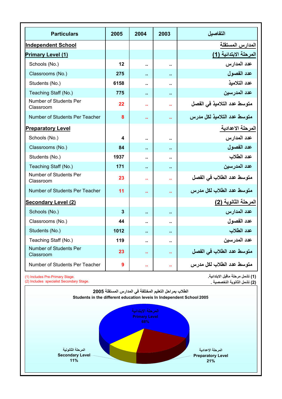| <b>Particulars</b>                  | 2005         | 2004                 | 2003                 | التفاصيل                    |
|-------------------------------------|--------------|----------------------|----------------------|-----------------------------|
| <b>Independent School</b>           |              |                      |                      | المدارس المستقلة            |
| Primary Level (1)                   |              |                      |                      | المرحلة الابتدائية (1)      |
| Schools (No.)                       | 12           | $\ddot{\phantom{a}}$ | Ω.                   | عدد المدار س                |
| Classrooms (No.)                    | 275          | ä.                   | Ω.                   | عدد الفصول                  |
| Students (No.)                      | 6158         | $\ddot{\phantom{a}}$ | Ω.                   | عدد التلامذ                 |
| Teaching Staff (No.)                | 775          | ä,                   | ä,                   | عدد المدر سبن               |
| Number of Students Per<br>Classroom | 22           | ä.                   | ä.                   | متوسط عدد التلاميذ في الفصل |
| Number of Students Per Teacher      | 8            | ä.                   | ш                    | متوسط عدد التلاميذ لكل مدرس |
| <b>Preparatory Level</b>            |              |                      |                      | المرحلة الاعدادية           |
| Schools (No.)                       | 4            | Ω.                   | Ω.                   | عدد المدارس                 |
| Classrooms (No.)                    | 84           | ä.                   | Ω.                   | عدد الفصول                  |
| Students (No.)                      | 1937         | ä.                   | $\ddot{\phantom{a}}$ | عدد الطلاب                  |
| Teaching Staff (No.)                | 171          | ٠.                   | ٠.                   | عدد المدرسين                |
| Number of Students Per<br>Classroom | 23           | ä.                   | ä.                   | متوسط عدد الطلاب في الفصل   |
| Number of Students Per Teacher      | 11           | ä.                   | ä.                   | متوسط عدد الطلاب لكل مدرس   |
| <b>Secondary Level (2)</b>          |              |                      |                      | المرحلة الثانوية (2)        |
| Schools (No.)                       | 3            | ä,                   | ٠.                   | عدد المدارس                 |
| Classrooms (No.)                    | 44           | $\ddot{\phantom{a}}$ |                      | عدد الفصو ل                 |
| Students (No.)                      | 1012         | ш.                   | ٠.                   | عدد الطلاب                  |
| Teaching Staff (No.)                | 119          | ä.                   | ä.                   | عدد المدرسين                |
| Number of Students Per<br>Classroom | 23           | ä.                   | ä.                   | متوسط عدد الطلاب في الفصل   |
| Number of Students Per Teacher      | $\mathbf{9}$ | ä.                   | н.                   | متوسط عدد الطلاب لكل مدرس   |

(1) Includes Pre-Primary Stage.

(2) Includes specialist Secondary Stage.

**(1) تشمل مرحلة ماقبل الابتدائية. (2) تشمل الثانویة التخصصية .**

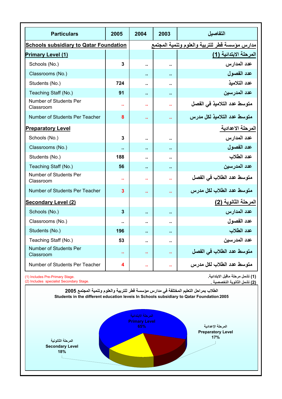| <b>Particulars</b>                            | 2005 | 2004                 | 2003                                           | التفاصيل                     |  |  |
|-----------------------------------------------|------|----------------------|------------------------------------------------|------------------------------|--|--|
| <b>Schools subsidiary to Qatar Foundation</b> |      |                      | مدارس مؤسسة قطر للتربية والعلوم وتنمية المجتمع |                              |  |  |
| <b>Primary Level (1)</b>                      |      |                      |                                                | المرحلة الابتدائية (1)       |  |  |
| Schools (No.)                                 | 3    | ä.                   | ä.                                             | عدد المدار س                 |  |  |
| Classrooms (No.)                              |      | Ω.                   | Ω.                                             | عدد الفصول                   |  |  |
| Students (No.)                                | 724  | $\ddot{\phantom{a}}$ | $\ddot{\phantom{a}}$                           | عدد التلامذ                  |  |  |
| Teaching Staff (No.)                          | 91   | ò.                   | ٠.                                             | عدد المدر سين                |  |  |
| Number of Students Per<br>Classroom           | ä.   | ä.                   | ä.                                             | متوسط عدد التلاميذ في الفصل  |  |  |
| Number of Students Per Teacher                | 8    | ä.                   | ä.                                             | متوسط عدد التلاميذ لكل مدرس  |  |  |
| <b>Preparatory Level</b>                      |      |                      |                                                | المرحلة الاعدادية            |  |  |
| Schools (No.)                                 | 3    | ä.                   | ٠.                                             | عدد المدارس                  |  |  |
| Classrooms (No.)                              | ä.   | $\ddot{\phantom{a}}$ |                                                | عدد الفصول                   |  |  |
| Students (No.)                                | 188  | ٠.                   |                                                | عدد الطلاب                   |  |  |
| Teaching Staff (No.)                          | 56   | Ω.                   | Ω.                                             | عدد المدر سين                |  |  |
| Number of Students Per<br>Classroom           | н    | а                    | ш                                              | متوسط عدد الطلاب في الفصل    |  |  |
| Number of Students Per Teacher                | 3    | ä.                   | ä.                                             | متوسط عدد الطلاب لكل مدرس    |  |  |
| Secondary Level (2)                           |      |                      |                                                | المرحلة الثانوية (2 <u>)</u> |  |  |
| Schools (No.)                                 | 3    | ò.                   | ٠.                                             | عدد المدارس                  |  |  |
| Classrooms (No.)                              |      | ٠.                   |                                                | عدد الفصول                   |  |  |
| Students (No.)                                | 196  | ò.                   | Ω                                              | عدد الطلاب                   |  |  |
| Teaching Staff (No.)                          | 53   | н.                   | Ω.                                             | عدد المدر سين                |  |  |
| Number of Students Per<br>Classroom           | ٠.   | ٠.                   | ω.                                             | متوسط عدد الطلاب في الفصل    |  |  |
| Number of Students Per Teacher                | 4    | ä.                   | ÷.                                             | متوسط عدد الطلاب لكل مدرس    |  |  |

(1) Includes Pre-Primary Stage. (2) Includes specialist Secondary Stage. **(1) تشمل مرحلة ماقبل الابتدائية. (2) تشمل الثانویة التخصصية .**

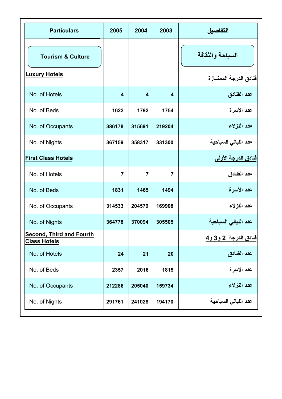| <b>Particulars</b>                                     | 2005                | 2004           | 2003           | التفاصيل                                   |
|--------------------------------------------------------|---------------------|----------------|----------------|--------------------------------------------|
| <b>Tourism &amp; Culture</b><br><b>Luxury Hotels</b>   |                     |                |                | السياحة والثقافة<br>فنادق الدرجة الممتسازة |
| No. of Hotels                                          | $\overline{\bf{4}}$ | $\overline{4}$ | $\overline{4}$ | عدد الفنادق                                |
| No. of Beds                                            | 1622                | 1792           | 1754           | عدد الأسرة                                 |
| No. of Occupants                                       | 386178              | 315691         | 219204         | عدد النزلاء                                |
| No. of Nights                                          | 367159              | 358317         | 331300         | عدد الليالي السياحية                       |
| <b>First Class Hotels</b>                              |                     |                |                | فنادق الدرجة الأولى                        |
| No. of Hotels                                          | $\overline{7}$      | $\overline{7}$ | $\overline{7}$ | عدد الفنادق                                |
| No. of Beds                                            | 1831                | 1465           | 1494           | عدد الأسرة                                 |
| No. of Occupants                                       | 314533              | 204579         | 169908         | عدد النزلاء                                |
| No. of Nights                                          | 364778              | 370094         | 305505         | عدد الليالي السياحية                       |
| <b>Second, Third and Fourth</b><br><b>Class Hotels</b> |                     |                |                | <u>فنادق الدرجة 2 و3 و4</u>                |
| No. of Hotels                                          | 24                  | 21             | 20             | عدد الفنادق                                |
| No. of Beds                                            | 2357                | 2016           | 1815           | عدد الأسرة                                 |
| No. of Occupants                                       | 212286              | 205040         | 159734         | عدد النزلاء                                |
| No. of Nights                                          | 291761              | 241028         | 194170         | عدد الليالي السياحية                       |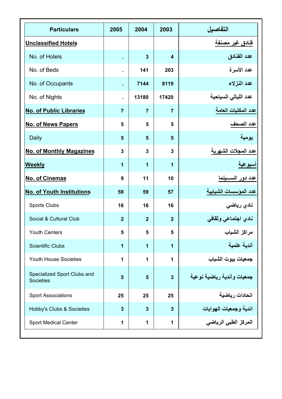| <b>Particulars</b>                              | 2005           | 2004           | 2003                    | التفاصيل                    |
|-------------------------------------------------|----------------|----------------|-------------------------|-----------------------------|
| <b>Unclassified Hotels</b>                      |                |                |                         | فنادق غير مصنفة             |
| No. of Hotels                                   | $\epsilon$     | 3              | $\overline{\mathbf{A}}$ | عدد الفنادق                 |
| No. of Beds                                     |                | 141            | 203                     | عدد الأسرة                  |
| No. of Occupants                                | $\epsilon$     | 7144           | 8119                    | عدد النزلاء                 |
| No. of Nights                                   | à.             | 13180          | 17420                   | عدد الليالي السياحية        |
| <b>No. of Public Libraries</b>                  | $\overline{7}$ | $\overline{7}$ | $\overline{7}$          | عدد المكتبات العامة         |
| No. of News Papers                              | 5              | 5              | 5                       | عد <u>د الصحف</u>           |
| Daily                                           | 5              | 5              | 5                       | يومية                       |
| <b>No. of Monthly Magazines</b>                 | 3              | 3              | 3                       | عدد المجلات الشهرية         |
| Weekly                                          | 1              | 1              | 1                       | اسبوعية                     |
| No. of Cinemas                                  | 9              | 11             | 10                      | <u>عدد دور الس</u> ــــينما |
| <b>No. of Youth Institutions</b>                | 59             | 59             | 57                      | عدد المؤسسات الشبابية       |
| Sports Clubs                                    | 16             | 16             | 16                      | نادي رياضى                  |
| Social & Cultural Club                          | $\overline{2}$ | $\overline{2}$ | $\overline{2}$          | نادي اجتماعي وثقافي         |
| <b>Youth Centers</b>                            | 5              | 5              | 5                       | مراكز الشباب                |
| <b>Scientific Clubs</b>                         | 1              | 1              | 1                       | أندية علمية                 |
| Youth House Societies                           | 1              | 1              | 1                       | جمعيات بيوت الشباب          |
| Specialized Sport Clubs and<br><b>Societies</b> | 5              | 5              | 3                       | جمعيات وأندية رياضية نوعية  |
| <b>Sport Associations</b>                       | 25             | 25             | 25                      | اتحادات رياضية              |
| Hobby's Clubs & Societies                       | 3              | 3              | 3                       | اندية وجمعيات الهوايات      |
| Sport Medical Center                            | 1              | 1              | 1                       | المركز الطبي الرياضي        |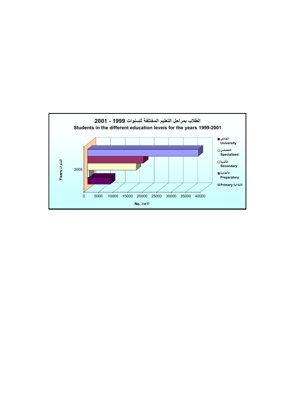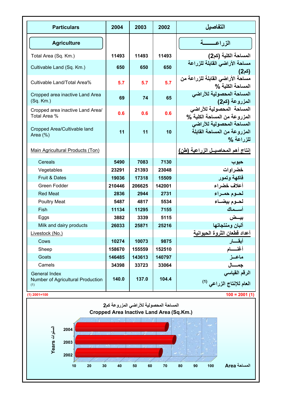| <b>Particulars</b>                                                          | 2004   | 2003   | 2002   | التفاصيل                                                                 |
|-----------------------------------------------------------------------------|--------|--------|--------|--------------------------------------------------------------------------|
| <b>Agriculture</b>                                                          |        |        |        | الزراعسسة                                                                |
| Total Area (Sq. Km.)                                                        | 11493  | 11493  | 11493  | المساحة الكلية (كم2)                                                     |
| Cultivable Land (Sq. Km.)                                                   | 650    | 650    | 650    | مساحة الأراضى القابلة للزراعة<br>(کم2)                                   |
| Cultivable Land/Total Area%                                                 | 5.7    | 5.7    | 5.7    | مساحة الأراضي القابلة للزراعة من<br>المساحة الكلبة %                     |
| Cropped area inactive Land Area<br>$(Sq.$ Km.)                              | 69     | 74     | 65     | المساحة المحصولية للأراضى<br>المزروعة (كم2)                              |
| Cropped area inactive Land Area/<br>Total Area %                            | 0.6    | 0.6    | 0.6    | المساحة المحصولية للأراضى<br>المزروعة من المساحة الكلية %                |
| Cropped Area/Cultivable land<br>Area $(\%)$                                 | 11     | 11     | 10     | المساحة المحصولية للأراضى<br>المزروعة من المساحة القابلة<br>للذراعة %    |
| Main Agricultural Products (Ton)                                            |        |        |        | إنتاج أهم المحاصيـل الزراعية (طن)                                        |
| Cereals                                                                     | 5490   | 7083   | 7130   | حبوب                                                                     |
| Vegetables                                                                  | 23291  | 21393  | 23048  | خضر او ات                                                                |
| Fruit & Dates                                                               | 19036  | 17318  | 15509  | فاكهة وتمور                                                              |
| Green Fodder                                                                | 210446 | 206625 | 142001 | أعلاف خضراء                                                              |
| <b>Red Meat</b>                                                             | 2836   | 2944   | 2731   | لحنوم حميزاء                                                             |
| <b>Poultry Meat</b>                                                         | 5487   | 4817   | 5534   | لحوم بيضاء                                                               |
| Fish                                                                        | 11134  | 11295  | 7155   | أسسماك                                                                   |
| Eggs                                                                        | 3882   | 3339   | 5115   | بيــض                                                                    |
| Milk and dairy products                                                     | 26033  | 25871  | 25216  | ألبان ومنتجاتها                                                          |
| Livestock (No.)                                                             |        |        |        | أعداد قطعان الثروة الحيوانية                                             |
| Cows                                                                        | 10274  | 10073  | 9875   | أبقسار                                                                   |
| Sheep                                                                       | 158670 | 155559 | 152510 | أغنسام                                                                   |
| Goats                                                                       | 146485 | 143613 | 140797 | ماعىز                                                                    |
| Camels                                                                      | 34398  | 33723  | 33064  | جمسال                                                                    |
| General Index<br>Number of Agricultural Production<br>(1)<br>$(1)$ 2001=100 | 140.0  | 137.0  | 104.4  | الرقم القياسي<br>العام للإنتاج الزراعي <sup>(1)</sup><br>$100 = 2001(1)$ |



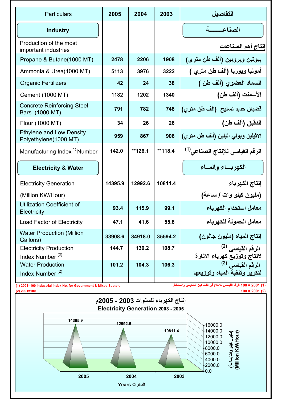| Particulars                                                      | 2005    | 2004    | 2003    | التفاصبل                                                              |
|------------------------------------------------------------------|---------|---------|---------|-----------------------------------------------------------------------|
| <b>Industry</b>                                                  |         |         |         | الصناعه                                                               |
| Production of the most<br>important industries                   |         |         |         | إنتاج أهم الصناعات                                                    |
| Propane & Butane(1000 MT)                                        | 2478    | 2206    | 1908    | بيوتين وبروبين (ألف طن مترى)                                          |
| Ammonia & Urea(1000 MT)                                          | 5113    | 3976    | 3222    | أمونيا ويوريا (ألف طن مترى )                                          |
| <b>Organic Fertilizers</b>                                       | 42      | 24      | 38      | السماد العضوي (ألف طن )                                               |
| Cement (1000 MT)                                                 | 1182    | 1202    | 1340    | الأسمنت (ألف طن)                                                      |
| <b>Concrete Reinforcing Steel</b><br>Bars (1000 MT)              | 791     | 782     | 748     | قضبان حديد تسليح (الف طن متري)                                        |
| Flour (1000 MT)                                                  | 34      | 26      | 26      | الدقيق (ألف طن)                                                       |
| <b>Ethylene and Low Density</b><br>Polyethylene(1000 MT)         | 959     | 867     | 906     | الاثيلين وبولي اثيلين (ألف طن مترى)                                   |
| Manufacturing Index <sup>(1)</sup> Number                        | 142.0   | **126.1 | **118.4 | الرقم القياسي للإنتاج الصناعي <sup>(1)</sup>                          |
| <b>Electricity &amp; Water</b>                                   |         |         |         | الكهريساء والمساء                                                     |
| <b>Electricity Generation</b>                                    | 14395.9 | 12992.6 | 10811.4 | إنتاج الكهرباء                                                        |
| (Million KW/Hour)                                                |         |         |         | (مليون كيلو وات / ساعة)                                               |
| Utilization Coefficient of<br>Electricity                        | 93.4    | 115.9   | 99.1    | معامل استخدام الكهرباء                                                |
| Load Factor of Electricity                                       | 47.1    | 41.6    | 55.8    | معامل الحمولة للكهرباء                                                |
| <b>Water Production (Million</b><br>Gallons)                     | 33908.6 | 34918.0 | 35594.2 | إنتاج المياه (مليون جالون)                                            |
| <b>Electricity Production</b><br>Index Number <sup>(2)</sup>     | 144.7   | 130.2   | 108.7   | الرقم القياسي <sup>(2)</sup><br>لانتاج وتوزيع كهرباء الانارة          |
| <b>Water Production</b><br>Index Number $(2)$                    | 101.2   | 104.3   | 106.3   | الرقم القيا <i>سى</i> <sup>(2)</sup><br>لتكرير وتنقية المياه وتوزيعها |
| (1) 2001=100 Industrial Index No. for Government & Mixed Sector. |         |         |         | (1) 2001 = 100 الرقم القياسي للانتاج في القطاعين الحكومي والمختلط.    |

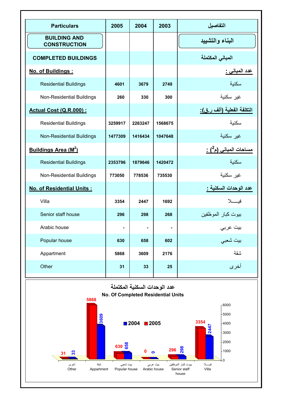| <b>Particulars</b>                                                                 | 2005    | 2004           | 2003           | التفاصيل                                |  |  |
|------------------------------------------------------------------------------------|---------|----------------|----------------|-----------------------------------------|--|--|
| <b>BUILDING AND</b><br><b>CONSTRUCTION</b>                                         |         |                |                | البناء والتشييد                         |  |  |
| <b>COMPLETED BUILDINGS</b>                                                         |         |                |                | المبانى المكتملة                        |  |  |
| No. of Buildings:                                                                  |         |                |                | <u>عدد المباني :</u>                    |  |  |
| <b>Residential Buildings</b>                                                       | 4601    | 3679           | 2749           | سكنية                                   |  |  |
| Non-Residential Buildings                                                          | 260     | 330            | 300            | غير سكنية                               |  |  |
| Actual Cost (Q.R.000) :                                                            |         |                |                | التكلفة الفعلية (ألف ر.ق):              |  |  |
| <b>Residential Buildings</b>                                                       | 3259917 | 2263247        | 1568675        | سكنية                                   |  |  |
| <b>Non-Residential Buildings</b>                                                   | 1477309 | 1416434        | 1047648        | غير سكنية                               |  |  |
| Buildings Area (M <sup>2</sup> )                                                   |         |                |                | <u>مساحات المبانى (م<sup>2</sup>) :</u> |  |  |
| <b>Residential Buildings</b>                                                       | 2353796 | 1879646        | 1420472        | سكنية                                   |  |  |
| Non-Residential Buildings                                                          | 773050  | 778536         | 735530         | غير سكنية                               |  |  |
| No. of Residential Units:                                                          |         |                |                | عدد الوحدات السكنية <u>:</u>            |  |  |
| Villa                                                                              | 3354    | 2447           | 1692           | فيسلا                                   |  |  |
| Senior staff house                                                                 | 296     | 298            | 268            | بيوت كبار الموظفين                      |  |  |
| Arabic house                                                                       |         | $\blacksquare$ | $\blacksquare$ | بيت عربي                                |  |  |
| Popular house                                                                      | 630     | 658            | 602            | بيت شعبي                                |  |  |
| Appartment                                                                         | 5868    | 3609           | 2176           | سقة                                     |  |  |
| Other                                                                              | 31      | 33             | 25             | أخرى                                    |  |  |
| عدد الوحدات السكنية المكتملة<br>No. Of Completed Residential Units<br>5868<br>6000 |         |                |                |                                         |  |  |
| 609                                                                                |         |                |                | 5000                                    |  |  |

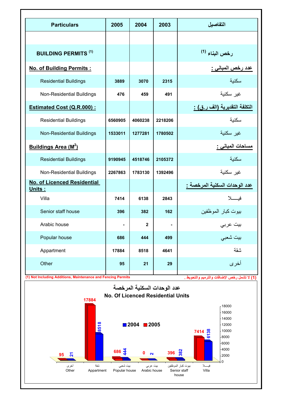| <b>Particulars</b>                                                    | 2005    | 2004           | 2003    | التفاصيل                                             |
|-----------------------------------------------------------------------|---------|----------------|---------|------------------------------------------------------|
|                                                                       |         |                |         |                                                      |
| <b>BUILDING PERMITS (1)</b>                                           |         |                |         | رخص البناء (1)                                       |
| No. of Building Permits:                                              |         |                |         | <u>عدد رخص المباني :</u>                             |
| <b>Residential Buildings</b>                                          | 3889    | 3070           | 2315    | سكنية                                                |
| Non-Residential Buildings                                             | 476     | 459            | 491     | غير سكنية                                            |
| Estimated Cost (Q.R.000):                                             |         |                |         | <u>التكلفة التقديرية (الف ر.ق) :</u>                 |
| <b>Residential Buildings</b>                                          | 6560905 | 4060238        | 2218206 | سكنبة                                                |
| <b>Non-Residential Buildings</b>                                      | 1533011 | 1277281        | 1780502 | غير سكنية                                            |
| Buildings Area (M <sup>2</sup> )                                      |         |                |         | مساحات المبانى :                                     |
| <b>Residential Buildings</b>                                          | 9190945 | 4518746        | 2105372 | سكنية                                                |
| <b>Non-Residential Buildings</b>                                      | 2267863 | 1783130        | 1392496 | غبر سكنبة                                            |
| No. of Licenced Residential<br>Units:                                 |         |                |         | عدد الوحدات السكنية المرخصة :                        |
| Villa                                                                 | 7414    | 6138           | 2843    | فىسىلا                                               |
| Senior staff house                                                    | 396     | 382            | 162     | بيوت كبار الموظفين                                   |
| Arabic house                                                          | ٠       | $\overline{2}$ | ٠       | بيت عربي                                             |
| Popular house                                                         | 686     | 444            | 499     | بيت شعبي                                             |
| Appartment                                                            | 17884   | 8518           | 4641    | سقة                                                  |
| Other<br>(1) Not Including Additions, Maintenance and Fencing Permits | 95      | 21             | 29      | أخرى<br>(1) لا تشمل رخص الإضافات والترميم والتحويط . |

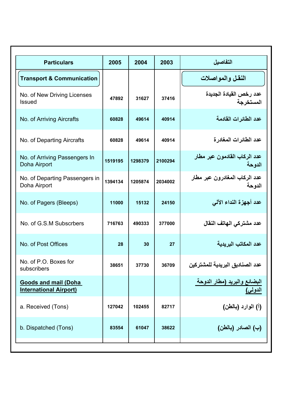| <b>Particulars</b>                                           | 2005    | 2004    | 2003    | التفاصيل                                |
|--------------------------------------------------------------|---------|---------|---------|-----------------------------------------|
| <b>Transport &amp; Communication</b>                         |         |         |         | النقل والمواصلات                        |
| No. of New Driving Licenses<br>Issued                        | 47892   | 31627   | 37416   | عدد رخص القيادة الجديدة<br>المستخرجة    |
| No. of Arriving Aircrafts                                    | 60828   | 49614   | 40914   | عدد الطائرات القادمة                    |
| No. of Departing Aircrafts                                   | 60828   | 49614   | 40914   | عدد الطائر ات المغادر ة                 |
| No. of Arriving Passengers In<br>Doha Airport                | 1519195 | 1298379 | 2100294 | عدد الركاب القادمون عبر مطار<br>الدوحة  |
| No. of Departing Passengers in<br>Doha Airport               | 1394134 | 1205874 | 2034002 | عدد الركاب المغادرون عبر مطار<br>الدوحة |
| No. of Pagers (Bleeps)                                       | 11000   | 15132   | 24150   | عدد أجهزة النداء الآلي                  |
| No. of G.S.M Subscrbers                                      | 716763  | 490333  | 377000  | عدد مشتركي الهاتف النقال                |
| No. of Post Offices                                          | 28      | 30      | 27      | عدد المكاتب البريدية                    |
| No. of P.O. Boxes for<br>subscribers                         | 38651   | 37730   | 36709   | عدد الصناديق البريدية للمشتركين         |
| <b>Goods and mail (Doha</b><br><b>International Airport)</b> |         |         |         | البضائع والبريد (مطار الدوحة            |
| a. Received (Tons)                                           | 127042  | 102455  | 82717   | (أ) الوارد (بالطن)                      |
| b. Dispatched (Tons)                                         | 83554   | 61047   | 38622   | (ب) الصادر (بالطن)                      |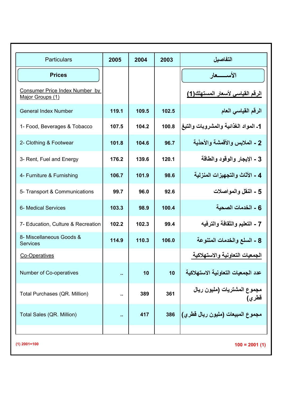| <b>Particulars</b>                                 | 2005  | 2004  | 2003  | التفاصبل                             |
|----------------------------------------------------|-------|-------|-------|--------------------------------------|
| <b>Prices</b>                                      |       |       |       | الأستسعار                            |
| Consumer Price Index Number by<br>Major Groups (1) |       |       |       | الرقم القياسي لأسعار المستهلك(1)     |
| <b>General Index Number</b>                        | 119.1 | 109.5 | 102.5 | الرقم القياسي العام                  |
| 1- Food, Beverages & Tobacco                       | 107.5 | 104.2 | 100.8 | 1ـ المواد الغذائية والمشروبات والتبغ |
| 2- Clothing & Footwear                             | 101.8 | 104.6 | 96.7  | 2 - الملابس والأقمشة والأحذية        |
| 3- Rent, Fuel and Energy                           | 176.2 | 139.6 | 120.1 | 3 - الإيجار ، الوقود ، الطاقة        |
| 4- Furniture & Furnishing                          | 106.7 | 101.9 | 98.6  | 4 - الأثاث والتجهيزات المنز لية      |
| 5- Transport & Communications                      | 99.7  | 96.0  | 92.6  | 5 - النقل و المو اصلات               |
| 6- Medical Services                                | 103.3 | 98.9  | 100.4 | 6 - الخدمات الصحية                   |
| 7- Education, Culture & Recreation                 | 102.2 | 102.3 | 99.4  | 7 - التعليم والثقافة والترفيه        |
| 8- Miscellaneous Goods &<br><b>Services</b>        | 114.9 | 110.3 | 106.0 | 8 - السلع والخدمات المتنوعة          |
| Co-Operatives                                      |       |       |       | الجمعيات التعاونية والاستهلاكية      |
| Number of Co-operatives                            | à.    | 10    | 10    | عدد الجمعيات التعاونية الاستهلاكية   |
| Total Purchases (QR. Million)                      | ä.    | 389   | 361   | مجموع المشتريات (مليون ريال<br>قطري) |
| Total Sales (QR. Million)                          | ä,    | 417   | 386   | مجموع المبيعات (مليون ريال قطر ي)    |
|                                                    |       |       |       |                                      |

**100 = 2001 (1) (1) 2001=100**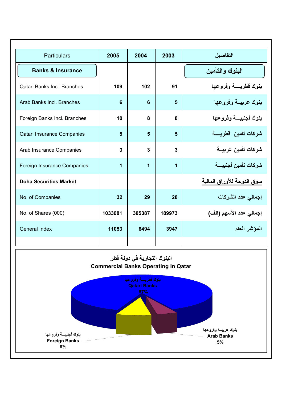| Particulars                   | 2005    | 2004   | 2003   | التفاصبل                   |
|-------------------------------|---------|--------|--------|----------------------------|
| <b>Banks &amp; Insurance</b>  |         |        |        | البنوك والتأمين            |
| Qatari Banks Incl. Branches   | 109     | 102    | 91     | بنوك قطريسة وفروعها        |
| Arab Banks Incl. Branches     | 6       | 6      | 5      | بنوك عربيسة وفروعها        |
| Foreign Banks Incl. Branches  | 10      | 8      | 8      | بنوك أجنبيسة وفروعها       |
| Qatari Insurance Companies    | 5       | 5      | 5      | شركات تامين قطريسة         |
| Arab Insurance Companies      | 3       | 3      | 3      | شركات تأمين عربيـــة       |
| Foreign Insurance Companies   | 1       | 1      | 1      | شركات تأمين أجنبيسة        |
| <b>Doha Securities Market</b> |         |        |        | سوق الدوحة للأوراق المالية |
| No. of Companies              | 32      | 29     | 28     | إجمالى عدد الشركات         |
| No. of Shares (000)           | 1033081 | 305387 | 189973 | إجمالي عدد الأسهم (الف)    |
| General Index                 | 11053   | 6494   | 3947   | المؤشر العام               |
|                               |         |        |        |                            |

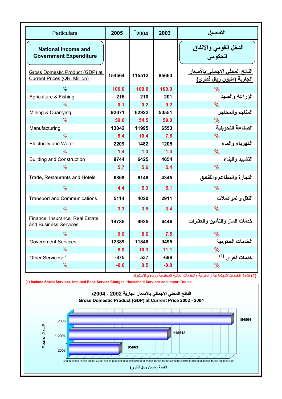| <b>Particulars</b>                                              | 2005   | ~2004  | 2003   | التفاصيل                                                             |
|-----------------------------------------------------------------|--------|--------|--------|----------------------------------------------------------------------|
| <b>National Income and</b><br><b>Government Expenditure</b>     |        |        |        | الدخل القومي والانفاق<br>الحكومي                                     |
| Gross Domestic Product (GDP) at<br>Current Prices (QR. Million) | 154564 | 115512 | 85663  | الناتج المحلى الإجمالي بالأسعار<br>الجارية (مليون ريال قطري <u>)</u> |
| $\frac{0}{0}$                                                   | 100.0  | 100.0  | 100.0  | %                                                                    |
| Agriculture & Fishing                                           | 216    | 210    | 201    | الزراعة والصيد                                                       |
| $\frac{9}{6}$                                                   | 0.1    | 0.2    | 0.2    | $\frac{9}{6}$                                                        |
| Mining & Quarrying                                              | 92071  | 62922  | 50551  | المناجم والمحاجر                                                     |
| $\frac{9}{6}$                                                   | 59.6   | 54.5   | 59.0   | $\frac{9}{6}$                                                        |
| Manufacturing                                                   | 13042  | 11995  | 6553   | الصناعة التحويلية                                                    |
| $\frac{0}{0}$                                                   | 8.4    | 10.4   | 7.6    | %                                                                    |
| <b>Electricity and Water</b>                                    | 2209   | 1482   | 1205   | الكهرباء والماء                                                      |
| $\%$                                                            | 1.4    | 1.3    | 1.4    | $\frac{9}{6}$                                                        |
| <b>Building and Construction</b>                                | 8744   | 6425   | 4654   | التشبيد والبناع                                                      |
| $\%$                                                            | 5.7    | 5.6    | 5.4    | $\frac{9}{6}$                                                        |
| Trade, Restaurants and Hotels                                   | 6869   | 6148   | 4345   | التجارة والمطاعم والفنادق                                            |
| $\frac{0}{6}$                                                   | 4.4    | 5.3    | 5.1    | $\frac{9}{6}$                                                        |
| <b>Transport and Communications</b>                             | 5114   | 4020   | 2911   | النقل و المو اصلات                                                   |
| $\%$                                                            | 3.3    | 3.5    | 3.4    | $\frac{9}{6}$                                                        |
| Finance, Insurance, Real Estate<br>and Business Services        | 14785  | 9925   | 6446   | خدمات المال والتأمين والعقارات                                       |
| $\frac{9}{6}$                                                   | 9.6    | 8.6    | 7.5    | $\%$                                                                 |
| <b>Government Services</b>                                      | 12389  | 11848  | 9495   | الخدمات الحكومية                                                     |
| $\frac{9}{6}$                                                   | 8.0    | 10.3   | 11.1   | $\%$                                                                 |
| Other Services <sup>(1)</sup>                                   | -875   | 537    | -698   | خدمات أخرى <sup>(1)</sup>                                            |
| $\frac{9}{6}$                                                   | $-0.6$ | 0.5    | $-0.8$ | $\frac{9}{6}$                                                        |

**(1) تشمل الخدمات الاجتماعية والمنزلية والخدمات المالية المحتسبة ورسوم الاستيراد.**



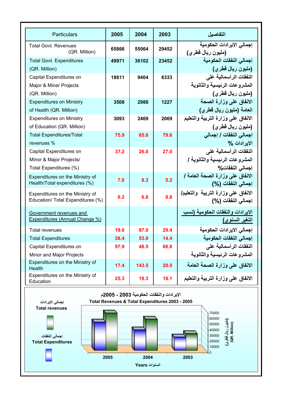| <b>Particulars</b>                           | 2005  | 2004  | 2003  | التفاصيل                            |
|----------------------------------------------|-------|-------|-------|-------------------------------------|
|                                              |       |       |       | إجمالي الايرادات الحكومية           |
| <b>Total Govt. Revenues</b><br>(QR. Million) | 65866 | 55064 | 29452 | (مليون ريال قطري)                   |
| <b>Total Govt. Expenditures</b>              | 49971 | 36102 | 23452 | إجمالي النفقات الحكومية             |
| (QR. Million)                                |       |       |       | (مليون ريال قطري)                   |
| Capital Expenditures on                      | 18611 | 9404  | 6333  | النفقات الرأسمالية على              |
| Major & Miner Projects                       |       |       |       | المشروعات الرئيسية والثانوية        |
| (QR. Million)                                |       |       |       | (مليون ريال قطري)                   |
| <b>Expenditures on Ministry</b>              | 3508  | 2988  | 1227  | الانفاق على وزارة الصحة             |
| of Health (QR. Million)                      |       |       |       | العامة (مليون ريال قطري)            |
| <b>Expenditures on Ministry</b>              | 3093  | 2469  | 2069  | الانفاق على وزارة التربية والتعليم  |
| of Education (QR. Million)                   |       |       |       | (مليون ريال قطري)                   |
| <b>Total Expenditures/Total</b>              | 75.9  | 65.6  | 79.6  | إجمالي النفقات / إجمالي             |
| revenues %                                   |       |       |       | الابر ادات %                        |
| Capital Expenditures on                      | 37.2  | 26.0  | 27.0  | النفقات الرأسمالية على              |
| Minor & Major Projects/                      |       |       |       | المشروعات الرئيسية والثانوية /      |
| Total Expenditures (%)                       |       |       |       | إجمالي النفقات%                     |
| Expenditures on the Ministry of              | 7.0   | 8.3   | 5.2   | الانفاق على وزارة الصحة العامة /    |
| Health/Total expenditures (%)                |       |       |       | إجمالي النفقات (%)                  |
| Expenditures on the Ministry of              | 6.2   | 6.8   | 8.8   | الانفاق على وزارة التربية والتعليم/ |
| Education/ Total Expenditures (%)            |       |       |       | إجمالي النفقات (%)                  |
| Government revenues and                      |       |       |       | الايرادات والنفقات الحكومية (نسب    |
| Expenditures (Annual Change %)               |       |       |       | <u>التغير السنوى)</u>               |
| <b>Total revenues</b>                        | 19.6  | 87.0  | 29.4  | إجمالي الايرادات الحكومية           |
| <b>Total Expenditures</b>                    | 38.4  | 53.9  | 14.4  | إجمالي النفقات الحكومية             |
| Capital Expenditures on                      | 97.9  | 48.5  | 60.8  | النفقات الرأسمالية على              |
| Minor and Major Projects                     |       |       |       | المشروعات الرئيسية والثانوية        |
| Expenditures on the Ministry of<br>Health    | 17.4  | 143.5 | 20.5  | الانفاق على وزارة الصحة العامة      |
| Expenditures on the Ministry of<br>Education | 25.3  | 19.3  | 18.1  | الانفاق على وزارة التربية والتعليم  |

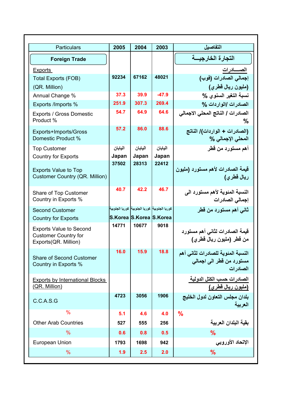| <b>Particulars</b>                                                                    | 2005    | 2004                                         | 2003    | التفاصيل                                                                   |
|---------------------------------------------------------------------------------------|---------|----------------------------------------------|---------|----------------------------------------------------------------------------|
| <b>Foreign Trade</b>                                                                  |         |                                              |         | التجارة الخارجيسة                                                          |
| Exports                                                                               |         |                                              |         | الصـــــــادرات                                                            |
| <b>Total Exports (FOB)</b>                                                            | 92234   | 67162                                        | 48021   | إجمالي الصادرات (فوب)                                                      |
| (QR. Million)                                                                         |         |                                              |         | (مليون ريال قطري)                                                          |
| Annual Change %                                                                       | 37.3    | 39.9                                         | $-47.9$ | نسبة التغير السنوى %                                                       |
| Exports /Imports %                                                                    | 251.9   | 307.3                                        | 269.4   | الصادرات االواردات %                                                       |
| Exports / Gross Domestic<br>Product %                                                 | 54.7    | 64.9                                         | 64.6    | الصادرات / الناتج المحلي الاجمالى<br>℅                                     |
| Exports+Imports/Gross<br>Domestic Product %                                           | 57.2    | 86.0                                         | 88.6    | (الصادرات + الواردات)/ الناتج<br>المطى الإجمالي %                          |
| <b>Top Customer</b>                                                                   | اليابان | اليابان                                      | اليابان | أهم مستورد من قطر                                                          |
| <b>Country for Exports</b>                                                            | Japan   | Japan                                        | Japan   |                                                                            |
| <b>Exports Value to Top</b>                                                           | 37502   | 28313                                        | 22412   | قيمة الصادرات لأهم مستورد (مليون                                           |
| Customer Country (QR. Million)                                                        |         |                                              |         | ريال قطر <i>ى</i> )                                                        |
| Share of Top Customer<br>Country in Exports %                                         | 40.7    | 42.2                                         | 46.7    | النسبة المنوية لأهم مستورد الى<br>إجمالي الصادرات                          |
| <b>Second Customer</b>                                                                |         | كوريا الجنوبية كوريا الجنوبية كوريا الجنوبية |         | ثانی أهم مستورد من قطر                                                     |
| <b>Country for Exports</b>                                                            |         | S.Korea S.Korea S.Korea                      |         |                                                                            |
| <b>Exports Value to Second</b><br><b>Customer Country for</b><br>Exports(QR. Million) | 14771   | 10677                                        | 9018    | قيمة الصادرات لثاني أهم مستورد<br>من قطر (مليون ريال قطري)                 |
| Share of Second Customer<br>Country in Exports %                                      | 16.0    | 15.9                                         | 18.8    | النسبة المئوية للصادرات لثاني أهم<br>مستورد من قطر الى اجمالى<br>الصادر ات |
| <b>Exports by International Blocks</b><br>(QR. Million)                               |         |                                              |         | الصادرات حسب الكتل الدولية<br><u>(مليون ريال قطري)</u>                     |
| C.C.A.S.G                                                                             | 4723    | 3056                                         | 1906    | بلدان مجلس التعاون لدول الخليج<br>العربية                                  |
| $\frac{0}{0}$                                                                         | 5.1     | 4.6                                          | 4.0     | $\frac{9}{6}$                                                              |
| <b>Other Arab Countries</b>                                                           | 527     | 555                                          | 256     | بقية البلدان العربية                                                       |
| $\%$                                                                                  | 0.6     | 0.8                                          | 0.5     | $\frac{9}{6}$                                                              |
| European Union                                                                        | 1793    | 1698                                         | 942     | الإتحاد الأوروبي                                                           |
| %                                                                                     | 1.9     | 2.5                                          | 2.0     | %                                                                          |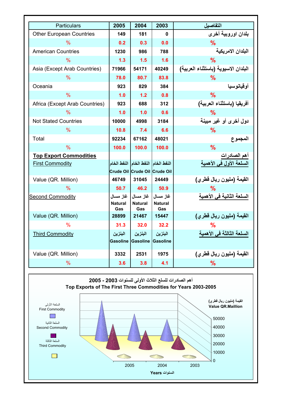| Particulars                     | 2005                       | 2004                              | 2003                              | التفاصيل                            |
|---------------------------------|----------------------------|-----------------------------------|-----------------------------------|-------------------------------------|
| <b>Other European Countries</b> | 149                        | 181                               | 0                                 | بلدان اوروبية أخرى                  |
| $\frac{9}{6}$                   | 0.2                        | 0.3                               | 0.0                               | $\frac{9}{6}$                       |
| <b>American Countries</b>       | 1230                       | 986                               | 788                               | البلدان الامر يكية                  |
| $\%$                            | 1.3                        | 1.5                               | 1.6                               | $\frac{9}{6}$                       |
| Asia (Except Arab Countries)    | 71966                      | 54171                             | 40249                             | البلدان الاسيوية (باستثناء العربية) |
| $\frac{9}{6}$                   | 78.0                       | 80.7                              | 83.8                              | $\frac{9}{6}$                       |
| Oceania                         | 923                        | 829                               | 384                               | أو قيانو سيا                        |
| $\frac{0}{0}$                   | 1.0                        | 1.2                               | 0.8                               | $\frac{9}{6}$                       |
| Africa (Except Arab Countries)  | 923                        | 688                               | 312                               | أفريقيا (باستثناء العربية)          |
| $\frac{0}{0}$                   | 1.0                        | 1.0                               | 0.6                               | %                                   |
| <b>Not Stated Countries</b>     | 10000                      | 4998                              | 3184                              | دول أخرى أو غير مبينة               |
| $\%$                            | 10.8                       | 7.4                               | 6.6                               | $\frac{9}{6}$                       |
| Total                           | 92234                      | 67162                             | 48021                             | المجموع                             |
| $\frac{9}{6}$                   | 100.0                      | 100.0                             | 100.0                             | $\frac{9}{6}$                       |
| <b>Top Export Commodities</b>   |                            |                                   |                                   | أهم الصادرات                        |
| <b>First Commodity</b>          | النفط الخام االنفط الخام   |                                   | النفط الخام                       | السلعة الأول في الأهمية             |
|                                 | Crude Oil Crude Oil        |                                   | <b>Crude Oil</b>                  |                                     |
| Value (QR. Million)             | 46749                      | 31045                             | 24449                             | القيمة (مليون ريال قطري)            |
| %                               | 50.7                       | 46.2                              | 50.9                              | ℆                                   |
| <b>Second Commodity</b>         | غاز مسال<br>Natural<br>Gas | غاز مسال<br><b>Natural</b><br>Gas | غاز مسال<br><b>Natural</b><br>Gas | السلعة الثانية في الأهمية           |
| Value (QR. Million)             | 28899                      | 21467                             | 15447                             | القيمة (مليون ريال قطرى)            |
| $\frac{0}{6}$                   | 31.3                       | 32.0                              | 32.2                              | %                                   |
| <b>Third Commodity</b>          | البنزين<br>Gasoline        | البنزين<br>Gasoline               | البنزين<br>Gasoline               | السلعة الثالثة في الأهمية           |
| Value (QR. Million)             | 3332                       | 2531                              | 1975                              | القيمة (مليون ريال قطرى)            |
| %                               | 3.6                        | 3.8                               | 4.1                               | %                                   |

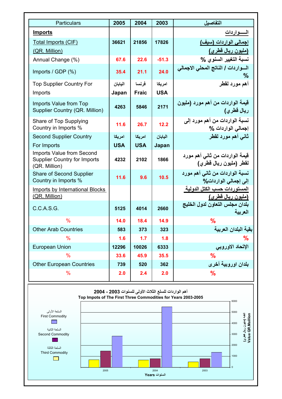| <b>Particulars</b>                                                         | 2005       | 2004         | 2003       | التفاصيل                                                 |
|----------------------------------------------------------------------------|------------|--------------|------------|----------------------------------------------------------|
| <b>Imports</b>                                                             |            |              |            | السسواردات                                               |
| Total Imports (CIF)                                                        | 36621      | 21856        | 17826      | إجمالي الواردات (سيف)                                    |
| (QR. Million)                                                              |            |              |            | (مليون ريال قطري <u>)</u>                                |
| Annual Change (%)                                                          | 67.6       | 22.6         | $-51.3$    | نسبة التغيير السنوي %                                    |
| Imports / GDP (%)                                                          | 35.4       | 21.1         | 24.0       | السواردات / الناتج المحلي الاجمالي<br>%                  |
| <b>Top Supplier Country For</b>                                            | اليابان    | فر نسا       | امر یکا    | أهم مورد لقطر                                            |
| Imports                                                                    | Japan      | <b>Fraic</b> | <b>USA</b> |                                                          |
| Imports Value from Top<br>Supplier Country (QR. Million)                   | 4263       | 5846         | 2171       | قيمة الواردات من أهم مورد (مليون<br>ريال قطري)           |
| Share of Top Supplying<br>Country in Imports %                             | 11.6       | 26.7         | 12.2       | نسبة الواردات من أهم مورد إلى<br>اجمالی الواردات %       |
| Second Supplier Country                                                    | امر یکا    | امر یکا      | اليابان    | ثاني أهم مورد لقطر                                       |
| For Imports                                                                | <b>USA</b> | <b>USA</b>   | Japan      |                                                          |
| Imports Value from Second<br>Supplier Country for Imports<br>(QR. Million) | 4232       | 2102         | 1866       | قيمة الواردات من ثاني أهم مورد<br>لقطر (مليون ريال قطري) |
| Share of Second Supplier<br>Country in Imports %                           | 11.6       | 9.6          | 10.5       | نسبة الواردات من ثاني أهم مورد<br>إلى إجمالي الواردات%   |
| Imports by International Blocks<br>(QR. Million)                           |            |              |            | المستوردات حسب الكتل الدولية<br>(مليون ريال قطري)        |
| C.C.A.S.G.                                                                 | 5125       | 4014         | 2660       | بلدان مجلس التعاون لدول الخليج<br>العريبة                |
| $\frac{9}{6}$                                                              | 14.0       | 18.4         | 14.9       | %                                                        |
| <b>Other Arab Countries</b>                                                | 583        | 373          | 323        | بقية البلدان العربية                                     |
| %                                                                          | 1.6        | 1.7          | 1.8        | ℆                                                        |
| <b>European Union</b>                                                      | 12296      | 10026        | 6333       | الإتحاد الاوروبي                                         |
| $\frac{9}{6}$                                                              | 33.6       | 45.9         | 35.5       | $\frac{9}{6}$                                            |
| <b>Other European Countries</b>                                            | 739        | 520          | 362        | بلدان اوروبية أخرى                                       |
| $\%$                                                                       | 2.0        | 2.4          | 2.0        | %                                                        |